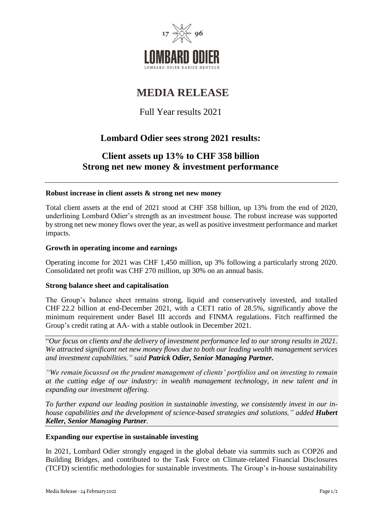

# **MEDIA RELEASE**

Full Year results 2021

# **Lombard Odier sees strong 2021 results:**

## **Client assets up 13% to CHF 358 billion Strong net new money & investment performance**

### **Robust increase in client assets & strong net new money**

Total client assets at the end of 2021 stood at CHF 358 billion, up 13% from the end of 2020, underlining Lombard Odier's strength as an investment house. The robust increase was supported by strong net new money flows over the year, as well as positive investment performance and market impacts.

### **Growth in operating income and earnings**

Operating income for 2021 was CHF 1,450 million, up 3% following a particularly strong 2020. Consolidated net profit was CHF 270 million, up 30% on an annual basis.

#### **Strong balance sheet and capitalisation**

The Group's balance sheet remains strong, liquid and conservatively invested, and totalled CHF 22.2 billion at end-December 2021, with a CET1 ratio of 28.5%, significantly above the minimum requirement under Basel III accords and FINMA regulations. Fitch reaffirmed the Group's credit rating at AA- with a stable outlook in December 2021.

"*Our focus on clients and the delivery of investment performance led to our strong results in 2021. We attracted significant net new money flows due to both our leading wealth management services and investment capabilities," said Patrick Odier, Senior Managing Partner.*

*"We remain focussed on the prudent management of clients' portfolios and on investing to remain at the cutting edge of our industry: in wealth management technology, in new talent and in expanding our investment offering.*

*To further expand our leading position in sustainable investing, we consistently invest in our inhouse capabilities and the development of science-based strategies and solutions," added Hubert Keller, Senior Managing Partner.*

#### **Expanding our expertise in sustainable investing**

In 2021, Lombard Odier strongly engaged in the global debate via summits such as COP26 and Building Bridges, and contributed to the Task Force on Climate-related Financial Disclosures (TCFD) scientific methodologies for sustainable investments. The Group's in-house sustainability